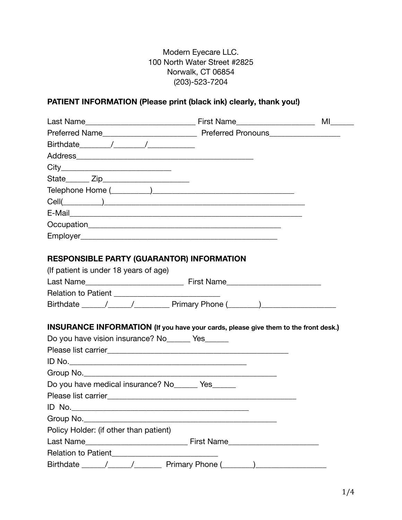Modern Eyecare LLC. 100 North Water Street #2825 Norwalk, CT 06854 (203)-523-7204

## **PATIENT INFORMATION (Please print (black ink) clearly, thank you!)**

| <b>RESPONSIBLE PARTY (GUARANTOR) INFORMATION</b>                                           |  |
|--------------------------------------------------------------------------------------------|--|
| (If patient is under 18 years of age)                                                      |  |
|                                                                                            |  |
|                                                                                            |  |
|                                                                                            |  |
|                                                                                            |  |
| <b>INSURANCE INFORMATION</b> (If you have your cards, please give them to the front desk.) |  |
| Do you have vision insurance? No______ Yes______                                           |  |
|                                                                                            |  |
|                                                                                            |  |
|                                                                                            |  |
| Do you have medical insurance? No ______ Yes ______                                        |  |
|                                                                                            |  |
|                                                                                            |  |
|                                                                                            |  |
| Policy Holder: (if other than patient)                                                     |  |
|                                                                                            |  |
|                                                                                            |  |
|                                                                                            |  |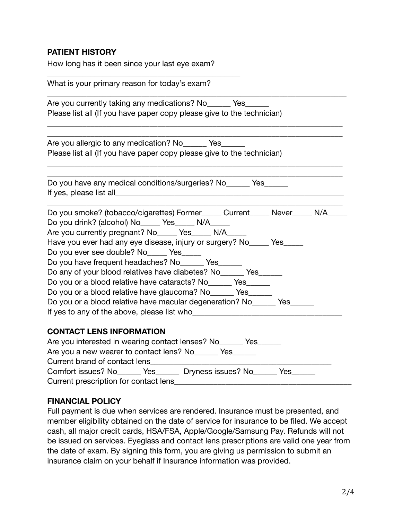# **PATIENT HISTORY**

How long has it been since your last eye exam?

| What is your primary reason for today's exam?                               |  |  |  |
|-----------------------------------------------------------------------------|--|--|--|
| Are you currently taking any medications? No _______ Yes                    |  |  |  |
| Please list all (If you have paper copy please give to the technician)      |  |  |  |
|                                                                             |  |  |  |
| Are you allergic to any medication? No _______ Yes_                         |  |  |  |
| Please list all (If you have paper copy please give to the technician)      |  |  |  |
| Do you have any medical conditions/surgeries? No ______ Yes                 |  |  |  |
|                                                                             |  |  |  |
| Do you smoke? (tobacco/cigarettes) Former_____ Current_____ Never_____ N/A_ |  |  |  |
| Do you drink? (alcohol) No_____ Yes_____ N/A_____                           |  |  |  |
| Are you currently pregnant? No ______ Yes ______ N/A _____                  |  |  |  |
| Have you ever had any eye disease, injury or surgery? No _____ Yes          |  |  |  |
| Do you ever see double? No Yes                                              |  |  |  |
| Do you have frequent headaches? No _______ Yes                              |  |  |  |
| Do any of your blood relatives have diabetes? No______ Yes______            |  |  |  |
| Do you or a blood relative have cataracts? No______ Yes______               |  |  |  |
| Do you or a blood relative have glaucoma? No _______ Yes ______             |  |  |  |
| Do you or a blood relative have macular degeneration? No _______ Yes        |  |  |  |
| If yes to any of the above, please list who                                 |  |  |  |
| <b>CONTACT LENS INFORMATION</b>                                             |  |  |  |
| Are you interested in wearing contact lenses? No______ Yes______            |  |  |  |
| Are you a new wearer to contact lens? No ______ Yes ______                  |  |  |  |
| Current brand of contact lens                                               |  |  |  |
| Comfort issues? No _______ Yes _______ Dryness issues? No ______ Yes ____   |  |  |  |
| Current prescription for contact lens                                       |  |  |  |

#### **FINANCIAL POLICY**

Full payment is due when services are rendered. Insurance must be presented, and member eligibility obtained on the date of service for insurance to be filed. We accept cash, all major credit cards, HSA/FSA, Apple/Google/Samsung Pay. Refunds will not be issued on services. Eyeglass and contact lens prescriptions are valid one year from the date of exam. By signing this form, you are giving us permission to submit an insurance claim on your behalf if Insurance information was provided.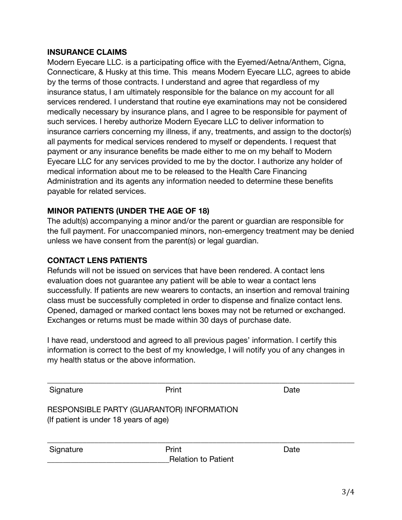### **INSURANCE CLAIMS**

Modern Eyecare LLC. is a participating office with the Eyemed/Aetna/Anthem, Cigna, Connecticare, & Husky at this time. This means Modern Eyecare LLC, agrees to abide by the terms of those contracts. I understand and agree that regardless of my insurance status, I am ultimately responsible for the balance on my account for all services rendered. I understand that routine eye examinations may not be considered medically necessary by insurance plans, and I agree to be responsible for payment of such services. I hereby authorize Modern Eyecare LLC to deliver information to insurance carriers concerning my illness, if any, treatments, and assign to the doctor(s) all payments for medical services rendered to myself or dependents. I request that payment or any insurance benefits be made either to me on my behalf to Modern Eyecare LLC for any services provided to me by the doctor. I authorize any holder of medical information about me to be released to the Health Care Financing Administration and its agents any information needed to determine these benefits payable for related services.

# **MINOR PATIENTS (UNDER THE AGE OF 18)**

The adult(s) accompanying a minor and/or the parent or guardian are responsible for the full payment. For unaccompanied minors, non-emergency treatment may be denied unless we have consent from the parent(s) or legal guardian.

# **CONTACT LENS PATIENTS**

Refunds will not be issued on services that have been rendered. A contact lens evaluation does not guarantee any patient will be able to wear a contact lens successfully. If patients are new wearers to contacts, an insertion and removal training class must be successfully completed in order to dispense and finalize contact lens. Opened, damaged or marked contact lens boxes may not be returned or exchanged. Exchanges or returns must be made within 30 days of purchase date.

I have read, understood and agreed to all previous pages' information. I certify this information is correct to the best of my knowledge, I will notify you of any changes in my health status or the above information.

| Signature                                                                          | Print                               | Date |  |  |
|------------------------------------------------------------------------------------|-------------------------------------|------|--|--|
| RESPONSIBLE PARTY (GUARANTOR) INFORMATION<br>(If patient is under 18 years of age) |                                     |      |  |  |
| Signature                                                                          | Print<br><b>Relation to Patient</b> | Date |  |  |